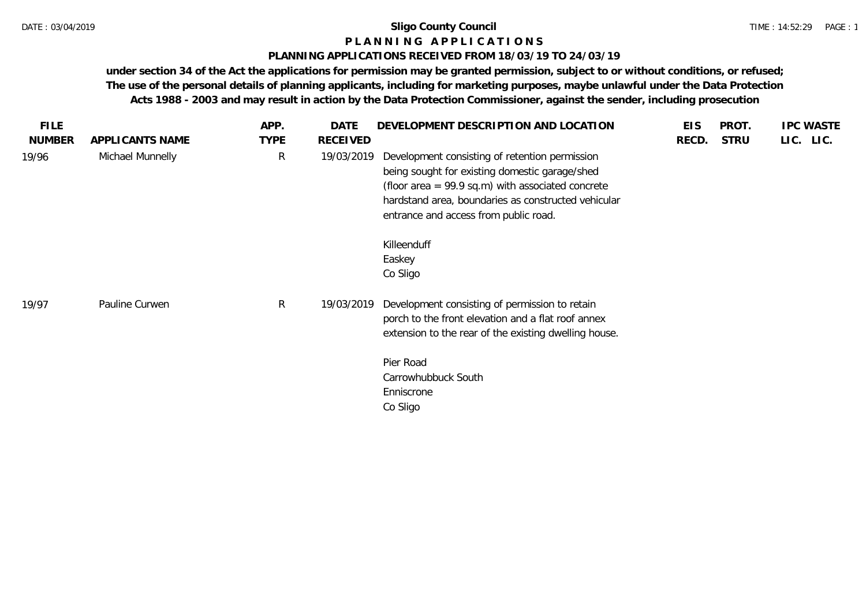# **P L A N N I N G A P P L I C A T I O N S**

### **PLANNING APPLICATIONS RECEIVED FROM 18/03/19 TO 24/03/19**

| <b>FILE</b>   |                  | APP.        | <b>DATE</b> | DEVELOPMENT DESCRIPTION AND LOCATION                                                                                                                                                                                                                    | <b>EIS</b> | PROT.       | <b>IPC WASTE</b> |
|---------------|------------------|-------------|-------------|---------------------------------------------------------------------------------------------------------------------------------------------------------------------------------------------------------------------------------------------------------|------------|-------------|------------------|
| <b>NUMBER</b> | APPLICANTS NAME  | <b>TYPE</b> | RECEIVED    |                                                                                                                                                                                                                                                         | RECD.      | <b>STRU</b> | LIC. LIC.        |
| 19/96         | Michael Munnelly | R           | 19/03/2019  | Development consisting of retention permission<br>being sought for existing domestic garage/shed<br>(floor area = $99.9$ sq.m) with associated concrete<br>hardstand area, boundaries as constructed vehicular<br>entrance and access from public road. |            |             |                  |
|               |                  |             |             | Killeenduff<br>Easkey<br>Co Sligo                                                                                                                                                                                                                       |            |             |                  |
| 19/97         | Pauline Curwen   | R           | 19/03/2019  | Development consisting of permission to retain<br>porch to the front elevation and a flat roof annex<br>extension to the rear of the existing dwelling house.<br>Pier Road                                                                              |            |             |                  |
|               |                  |             |             | Carrowhubbuck South<br>Enniscrone<br>Co Sligo                                                                                                                                                                                                           |            |             |                  |
|               |                  |             |             |                                                                                                                                                                                                                                                         |            |             |                  |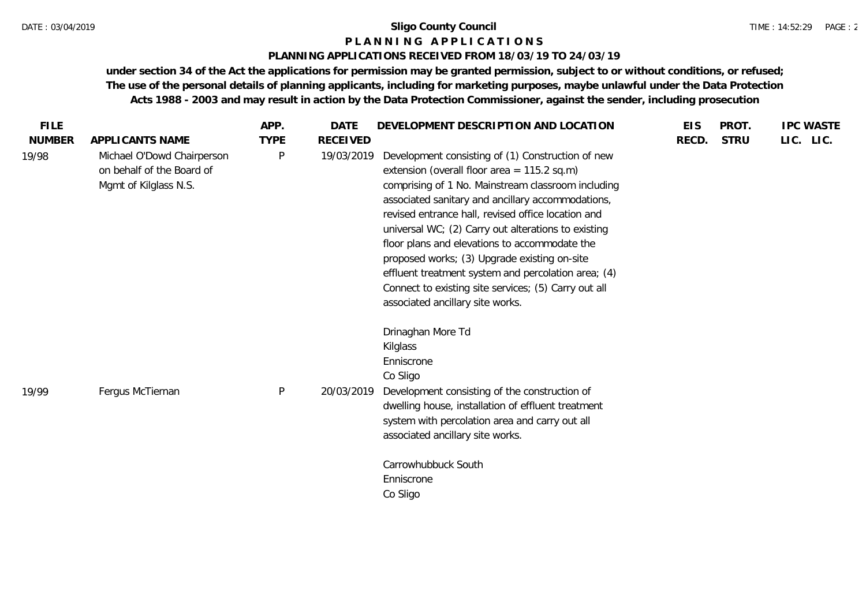#### **P L A N N I N G A P P L I C A T I O N S**

### **PLANNING APPLICATIONS RECEIVED FROM 18/03/19 TO 24/03/19**

| <b>FILE</b>   |                                                                                  | APP.        | <b>DATE</b>     | DEVELOPMENT DESCRIPTION AND LOCATION                                                                                                                                                                                                                                                                                                                                                                                                                                                                                                                                           | <b>EIS</b> | PROT.       | <b>IPC WASTE</b> |
|---------------|----------------------------------------------------------------------------------|-------------|-----------------|--------------------------------------------------------------------------------------------------------------------------------------------------------------------------------------------------------------------------------------------------------------------------------------------------------------------------------------------------------------------------------------------------------------------------------------------------------------------------------------------------------------------------------------------------------------------------------|------------|-------------|------------------|
| <b>NUMBER</b> | APPLICANTS NAME                                                                  | <b>TYPE</b> | <b>RECEIVED</b> |                                                                                                                                                                                                                                                                                                                                                                                                                                                                                                                                                                                | RECD.      | <b>STRU</b> | LIC. LIC.        |
| 19/98         | Michael O'Dowd Chairperson<br>on behalf of the Board of<br>Mgmt of Kilglass N.S. | P           | 19/03/2019      | Development consisting of (1) Construction of new<br>extension (overall floor area = $115.2$ sq.m)<br>comprising of 1 No. Mainstream classroom including<br>associated sanitary and ancillary accommodations,<br>revised entrance hall, revised office location and<br>universal WC; (2) Carry out alterations to existing<br>floor plans and elevations to accommodate the<br>proposed works; (3) Upgrade existing on-site<br>effluent treatment system and percolation area; (4)<br>Connect to existing site services; (5) Carry out all<br>associated ancillary site works. |            |             |                  |
| 19/99         | Fergus McTiernan                                                                 | P           | 20/03/2019      | Drinaghan More Td<br>Kilglass<br>Enniscrone<br>Co Sligo<br>Development consisting of the construction of<br>dwelling house, installation of effluent treatment<br>system with percolation area and carry out all<br>associated ancillary site works.<br>Carrowhubbuck South<br>Enniscrone                                                                                                                                                                                                                                                                                      |            |             |                  |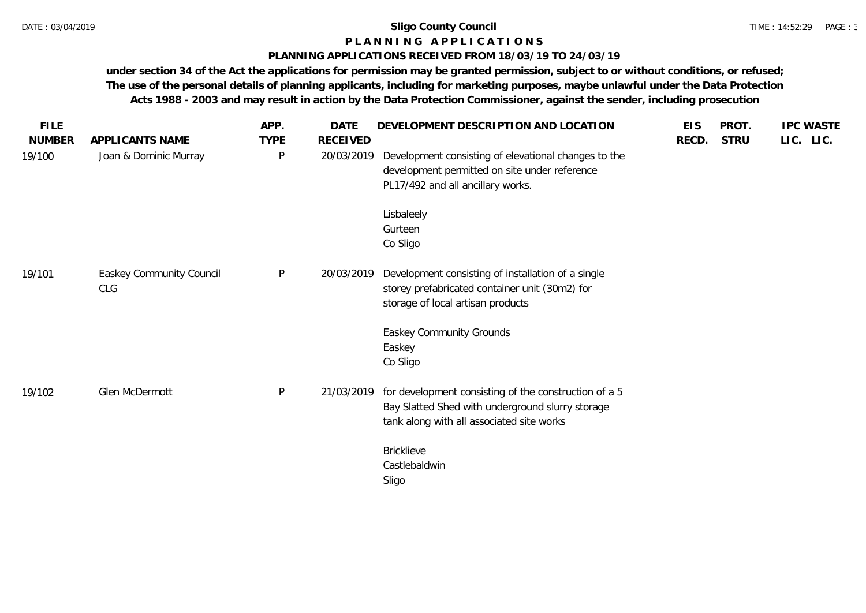# **P L A N N I N G A P P L I C A T I O N S**

# **PLANNING APPLICATIONS RECEIVED FROM 18/03/19 TO 24/03/19**

| <b>FILE</b>   |                                 | APP.         | <b>DATE</b>     | DEVELOPMENT DESCRIPTION AND LOCATION                                                                                                                   | <b>EIS</b> | PROT.       | <b>IPC WASTE</b> |
|---------------|---------------------------------|--------------|-----------------|--------------------------------------------------------------------------------------------------------------------------------------------------------|------------|-------------|------------------|
| <b>NUMBER</b> | APPLICANTS NAME                 | <b>TYPE</b>  | <b>RECEIVED</b> |                                                                                                                                                        | RECD.      | <b>STRU</b> | LIC. LIC.        |
| 19/100        | Joan & Dominic Murray           | P            | 20/03/2019      | Development consisting of elevational changes to the<br>development permitted on site under reference<br>PL17/492 and all ancillary works.             |            |             |                  |
|               |                                 |              |                 | Lisbaleely<br>Gurteen<br>Co Sligo                                                                                                                      |            |             |                  |
| 19/101        | Easkey Community Council<br>CLG | $\mathsf{P}$ | 20/03/2019      | Development consisting of installation of a single<br>storey prefabricated container unit (30m2) for<br>storage of local artisan products              |            |             |                  |
|               |                                 |              |                 | Easkey Community Grounds<br>Easkey<br>Co Sligo                                                                                                         |            |             |                  |
| 19/102        | Glen McDermott                  | P            | 21/03/2019      | for development consisting of the construction of a 5<br>Bay Slatted Shed with underground slurry storage<br>tank along with all associated site works |            |             |                  |
|               |                                 |              |                 | <b>Bricklieve</b><br>Castlebaldwin<br>Sligo                                                                                                            |            |             |                  |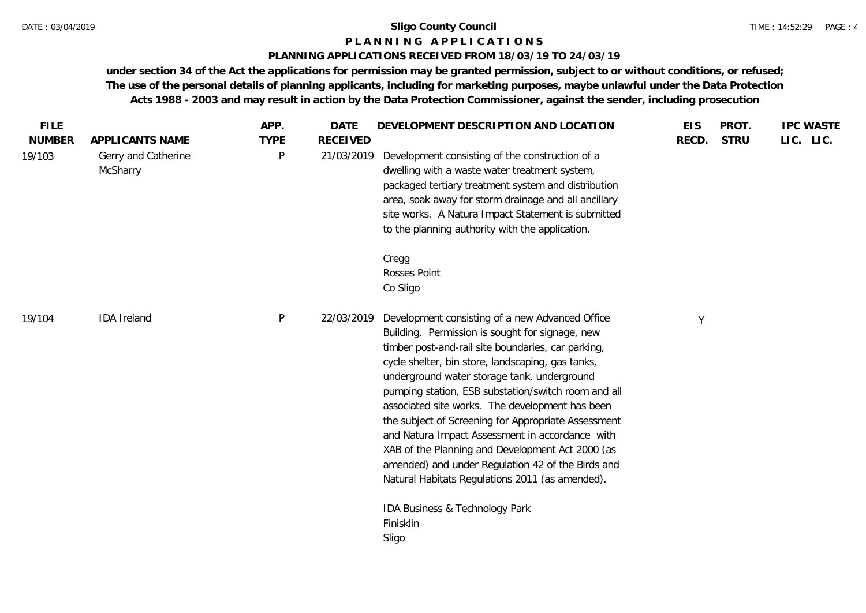#### **P L A N N I N G A P P L I C A T I O N S**

### **PLANNING APPLICATIONS RECEIVED FROM 18/03/19 TO 24/03/19**

| <b>FILE</b><br><b>NUMBER</b> | APPLICANTS NAME                 | APP.<br><b>TYPE</b> | <b>DATE</b><br><b>RECEIVED</b> | DEVELOPMENT DESCRIPTION AND LOCATION                                                                                                                                                                                                                                                                                                                                                                                                                                                                                                                                                                                                         | <b>EIS</b><br>RECD. | PROT.<br><b>STRU</b> | <b>IPC WASTE</b><br>LIC. LIC. |
|------------------------------|---------------------------------|---------------------|--------------------------------|----------------------------------------------------------------------------------------------------------------------------------------------------------------------------------------------------------------------------------------------------------------------------------------------------------------------------------------------------------------------------------------------------------------------------------------------------------------------------------------------------------------------------------------------------------------------------------------------------------------------------------------------|---------------------|----------------------|-------------------------------|
| 19/103                       | Gerry and Catherine<br>McSharry | P                   | 21/03/2019                     | Development consisting of the construction of a<br>dwelling with a waste water treatment system,<br>packaged tertiary treatment system and distribution<br>area, soak away for storm drainage and all ancillary<br>site works. A Natura Impact Statement is submitted<br>to the planning authority with the application.                                                                                                                                                                                                                                                                                                                     |                     |                      |                               |
|                              |                                 |                     |                                | Cregg<br>Rosses Point<br>Co Sligo                                                                                                                                                                                                                                                                                                                                                                                                                                                                                                                                                                                                            |                     |                      |                               |
| 19/104                       | <b>IDA</b> Ireland              | P                   | 22/03/2019                     | Development consisting of a new Advanced Office<br>Building. Permission is sought for signage, new<br>timber post-and-rail site boundaries, car parking,<br>cycle shelter, bin store, landscaping, gas tanks,<br>underground water storage tank, underground<br>pumping station, ESB substation/switch room and all<br>associated site works. The development has been<br>the subject of Screening for Appropriate Assessment<br>and Natura Impact Assessment in accordance with<br>XAB of the Planning and Development Act 2000 (as<br>amended) and under Regulation 42 of the Birds and<br>Natural Habitats Regulations 2011 (as amended). | Y                   |                      |                               |
|                              |                                 |                     |                                | IDA Business & Technology Park<br>Finisklin<br>Sligo                                                                                                                                                                                                                                                                                                                                                                                                                                                                                                                                                                                         |                     |                      |                               |
|                              |                                 |                     |                                |                                                                                                                                                                                                                                                                                                                                                                                                                                                                                                                                                                                                                                              |                     |                      |                               |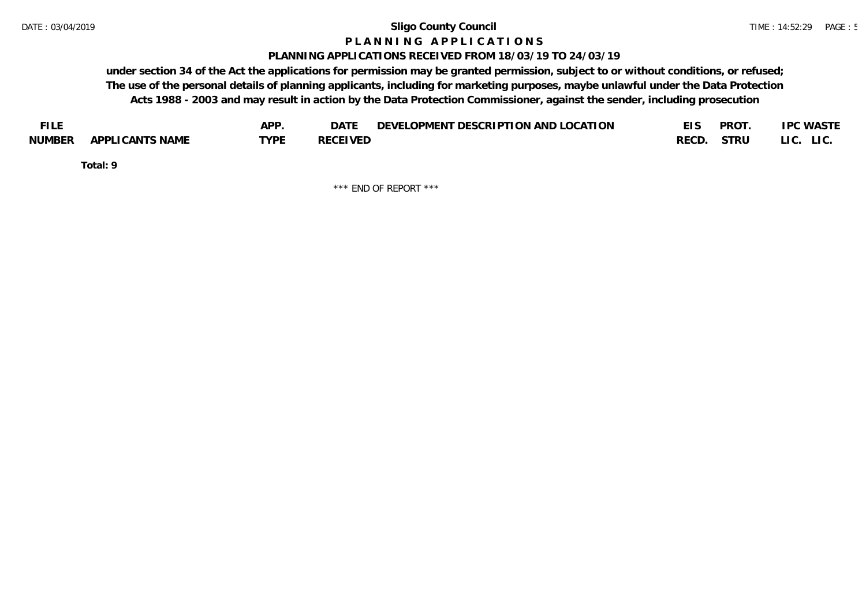#### **P L A N N I N G A P P L I C A T I O N S**

#### **PLANNING APPLICATIONS RECEIVED FROM 18/03/19 TO 24/03/19**

**under section 34 of the Act the applications for permission may be granted permission, subject to or without conditions, or refused; The use of the personal details of planning applicants, including for marketing purposes, maybe unlawful under the Data Protection Acts 1988 - 2003 and may result in action by the Data Protection Commissioner, against the sender, including prosecution**

| <b>FILE</b> |                 | APP. | DATE            | DEVELOPMENT DESCRIPTION AND LOCATION |       | <b>PROT</b> | <b>IPC WASTE</b> |
|-------------|-----------------|------|-----------------|--------------------------------------|-------|-------------|------------------|
| NUMBER      | APPLICANTS NAME | TVDF | <b>RECEIVED</b> |                                      | RECD. | STRU        | LI C.<br>LIC.    |

**Total: 9**

\*\*\* END OF REPORT \*\*\*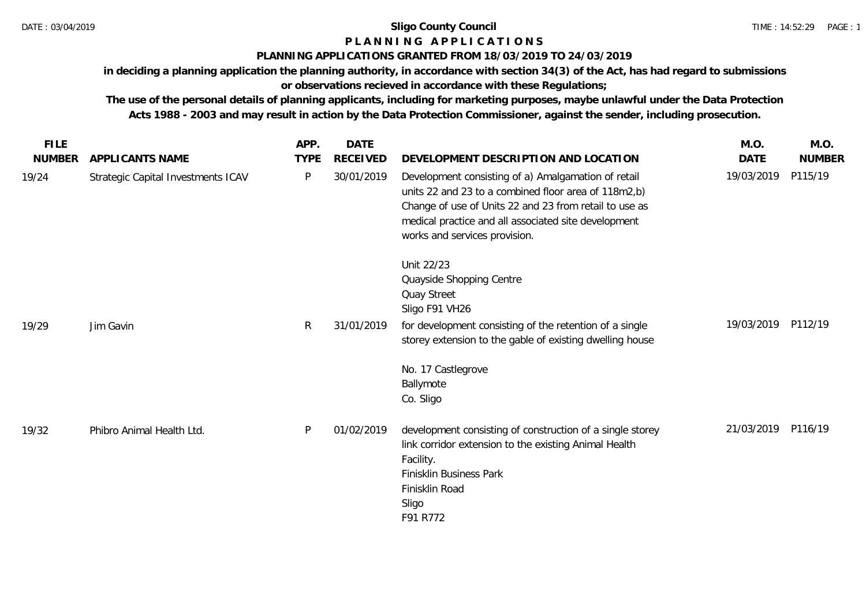# **P L A N N I N G A P P L I C A T I O N S**

### **PLANNING APPLICATIONS GRANTED FROM 18/03/2019 TO 24/03/2019**

**in deciding a planning application the planning authority, in accordance with section 34(3) of the Act, has had regard to submissions** 

**or observations recieved in accordance with these Regulations;**

**The use of the personal details of planning applicants, including for marketing purposes, maybe unlawful under the Data Protection Acts 1988 - 2003 and may result in action by the Data Protection Commissioner, against the sender, including prosecution.**

| <b>FILE</b>   |                                    | APP.         | <b>DATE</b>     |                                                                                                                                                                                                                                                                | M.O.        | M.O.          |
|---------------|------------------------------------|--------------|-----------------|----------------------------------------------------------------------------------------------------------------------------------------------------------------------------------------------------------------------------------------------------------------|-------------|---------------|
| <b>NUMBER</b> | APPLICANTS NAME                    | <b>TYPE</b>  | <b>RECEIVED</b> | DEVELOPMENT DESCRIPTION AND LOCATION                                                                                                                                                                                                                           | <b>DATE</b> | <b>NUMBER</b> |
| 19/24         | Strategic Capital Investments ICAV | P            | 30/01/2019      | Development consisting of a) Amalgamation of retail<br>units 22 and 23 to a combined floor area of 118m2,b)<br>Change of use of Units 22 and 23 from retail to use as<br>medical practice and all associated site development<br>works and services provision. | 19/03/2019  | P115/19       |
|               |                                    |              |                 | Unit 22/23<br>Quayside Shopping Centre<br>Quay Street<br>Sligo F91 VH26                                                                                                                                                                                        |             |               |
| 19/29         | Jim Gavin                          | $\mathsf{R}$ | 31/01/2019      | for development consisting of the retention of a single<br>storey extension to the gable of existing dwelling house                                                                                                                                            | 19/03/2019  | P112/19       |
|               |                                    |              |                 | No. 17 Castlegrove<br>Ballymote<br>Co. Sligo                                                                                                                                                                                                                   |             |               |
| 19/32         | Phibro Animal Health Ltd.          | P.           | 01/02/2019      | development consisting of construction of a single storey<br>link corridor extension to the existing Animal Health<br>Facility.<br>Finisklin Business Park<br>Finisklin Road<br>Sligo<br>F91 R772                                                              | 21/03/2019  | P116/19       |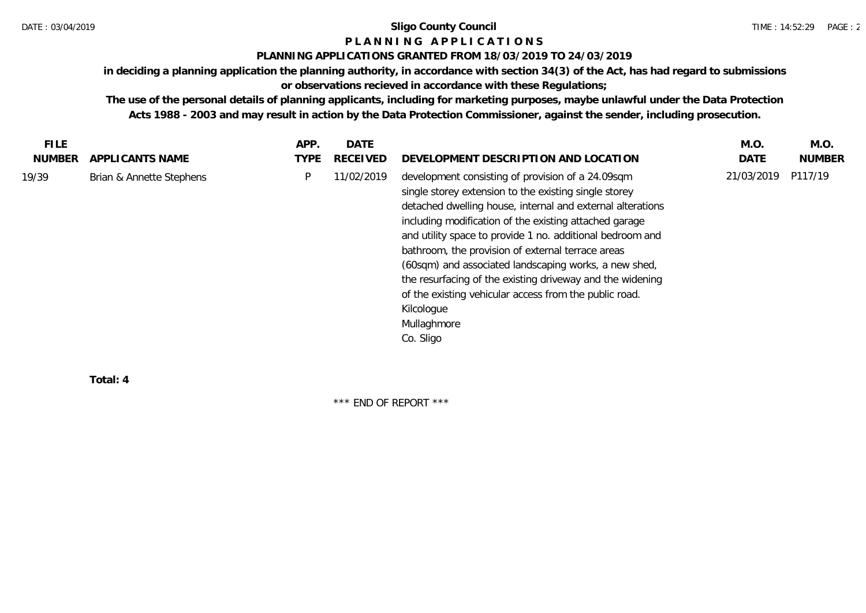# **P L A N N I N G A P P L I C A T I O N S**

### **PLANNING APPLICATIONS GRANTED FROM 18/03/2019 TO 24/03/2019**

**in deciding a planning application the planning authority, in accordance with section 34(3) of the Act, has had regard to submissions** 

**or observations recieved in accordance with these Regulations;**

**The use of the personal details of planning applicants, including for marketing purposes, maybe unlawful under the Data Protection Acts 1988 - 2003 and may result in action by the Data Protection Commissioner, against the sender, including prosecution.**

| <b>FILE</b> |                          | APP. | DATE            |                                                                                                                                                                                                                                                                                                                                                                                                                                                                                                                                                                                | M.O.       | M.O.    |
|-------------|--------------------------|------|-----------------|--------------------------------------------------------------------------------------------------------------------------------------------------------------------------------------------------------------------------------------------------------------------------------------------------------------------------------------------------------------------------------------------------------------------------------------------------------------------------------------------------------------------------------------------------------------------------------|------------|---------|
| NUMBER      | APPLICANTS NAME          | TYPE | <b>RECEIVED</b> | DEVELOPMENT DESCRIPTION AND LOCATION                                                                                                                                                                                                                                                                                                                                                                                                                                                                                                                                           | DATE       | NUMBER  |
| 19/39       | Brian & Annette Stephens | P    | 11/02/2019      | development consisting of provision of a 24.09sqm<br>single storey extension to the existing single storey<br>detached dwelling house, internal and external alterations<br>including modification of the existing attached garage<br>and utility space to provide 1 no. additional bedroom and<br>bathroom, the provision of external terrace areas<br>(60sqm) and associated landscaping works, a new shed,<br>the resurfacing of the existing driveway and the widening<br>of the existing vehicular access from the public road.<br>Kilcologue<br>Mullaghmore<br>Co. Sligo | 21/03/2019 | P117/19 |

**Total: 4**

\*\*\* END OF REPORT \*\*\*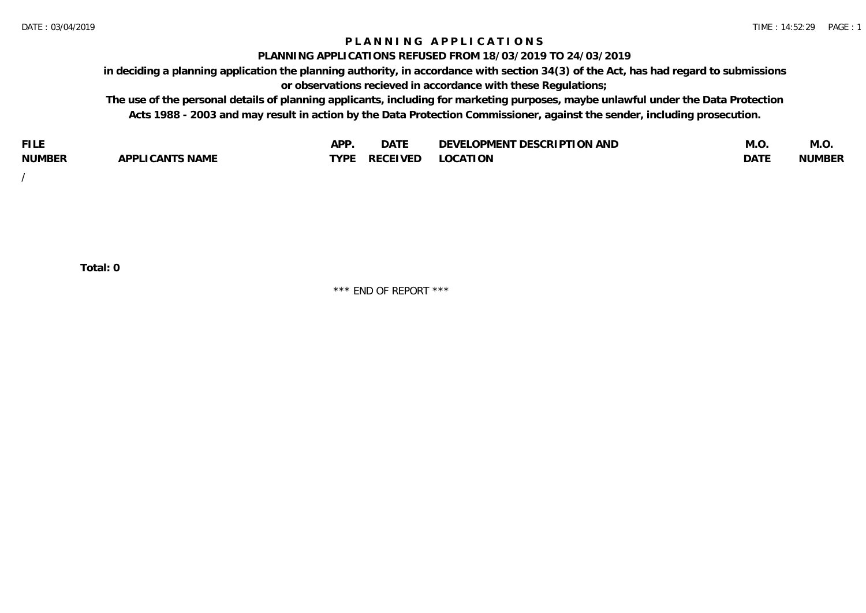# **P L A N N I N G A P P L I C A T I O N S**

#### **PLANNING APPLICATIONS REFUSED FROM 18/03/2019 TO 24/03/2019**

**in deciding a planning application the planning authority, in accordance with section 34(3) of the Act, has had regard to submissions or observations recieved in accordance with these Regulations;**

**The use of the personal details of planning applicants, including for marketing purposes, maybe unlawful under the Data Protection Acts 1988 - 2003 and may result in action by the Data Protection Commissioner, against the sender, including prosecution.**

| <b>FILE</b>   |                                                     | A DE | $\sim$ $\sim$ $\sim$<br>DA I | <b>ENT DESCRIPTION AND</b><br>$\cap$ nn.<br>)E\/F<br>. JIEN L<br>பட | IVI.U       | IVI.U         |
|---------------|-----------------------------------------------------|------|------------------------------|---------------------------------------------------------------------|-------------|---------------|
| <b>NUMBER</b> | <b>ANTS NAME</b><br>A DDI<br>$\sqrt{2}$<br>CAN<br>u | TVDL | ◡⊢                           | <b>OCATION</b>                                                      | <b>DATF</b> | <b>NUMBER</b> |

/

**Total: 0**

\*\*\* END OF REPORT \*\*\*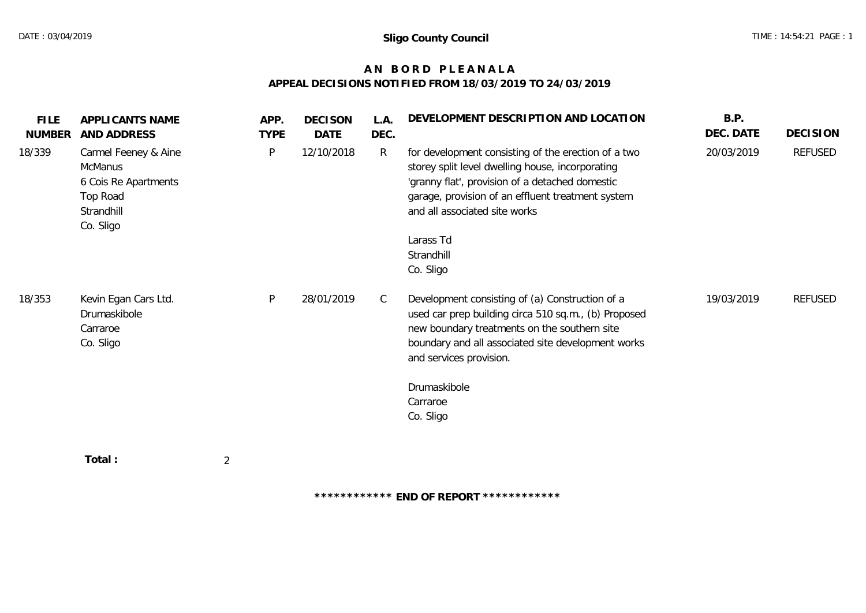# **A N B O R D P L E A N A L A APPEAL DECISIONS NOTIFIED FROM 18/03/2019 TO 24/03/2019**

| <b>FILE</b><br>NUMBER | APPLICANTS NAME<br>AND ADDRESS                                                                 | APP.<br><b>TYPE</b> | <b>DECISON</b><br>DATE | L.A.<br>DEC. | DEVELOPMENT DESCRIPTION AND LOCATION                                                                                                                                                                                                             | B.P.<br>DEC. DATE | <b>DECISION</b> |
|-----------------------|------------------------------------------------------------------------------------------------|---------------------|------------------------|--------------|--------------------------------------------------------------------------------------------------------------------------------------------------------------------------------------------------------------------------------------------------|-------------------|-----------------|
| 18/339                | Carmel Feeney & Aine<br>McManus<br>6 Cois Re Apartments<br>Top Road<br>Strandhill<br>Co. Sligo | P                   | 12/10/2018             | $\mathsf{R}$ | for development consisting of the erection of a two<br>storey split level dwelling house, incorporating<br>'granny flat', provision of a detached domestic<br>garage, provision of an effluent treatment system<br>and all associated site works | 20/03/2019        | REFUSED         |
|                       |                                                                                                |                     |                        |              | Larass Td<br>Strandhill<br>Co. Sligo                                                                                                                                                                                                             |                   |                 |
| 18/353                | Kevin Egan Cars Ltd.<br>Drumaskibole<br>Carraroe<br>Co. Sligo                                  | P                   | 28/01/2019             | C            | Development consisting of (a) Construction of a<br>used car prep building circa 510 sq.m., (b) Proposed<br>new boundary treatments on the southern site<br>boundary and all associated site development works<br>and services provision.         | 19/03/2019        | REFUSED         |
|                       |                                                                                                |                     |                        |              | Drumaskibole<br>Carraroe<br>Co. Sligo                                                                                                                                                                                                            |                   |                 |
|                       | Total:                                                                                         | $\overline{2}$      |                        |              |                                                                                                                                                                                                                                                  |                   |                 |

**\*\*\*\*\*\*\*\*\*\*\*\* END OF REPORT \*\*\*\*\*\*\*\*\*\*\*\***